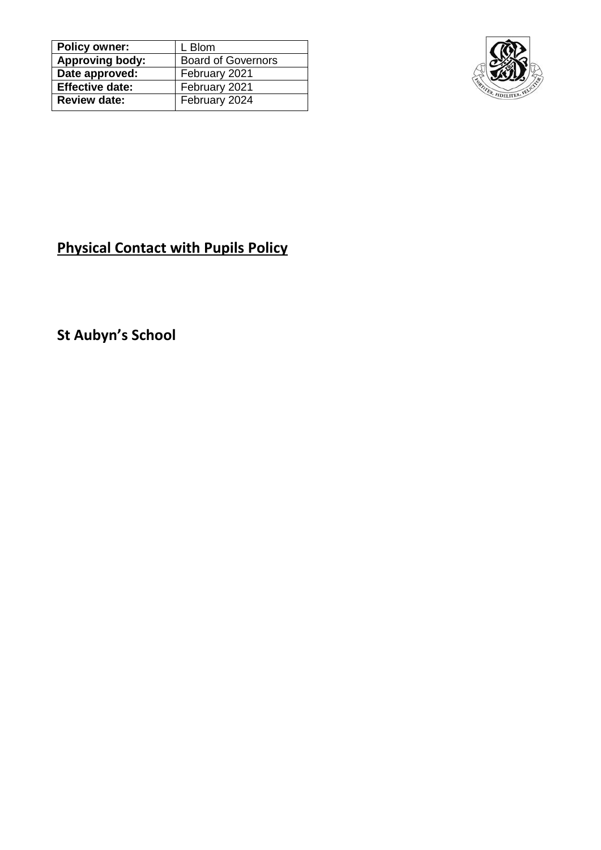| <b>Policy owner:</b>   | L Blom                    |
|------------------------|---------------------------|
| <b>Approving body:</b> | <b>Board of Governors</b> |
| Date approved:         | February 2021             |
| <b>Effective date:</b> | February 2021             |
| <b>Review date:</b>    | February 2024             |
|                        |                           |



# **Physical Contact with Pupils Policy**

**St Aubyn's School**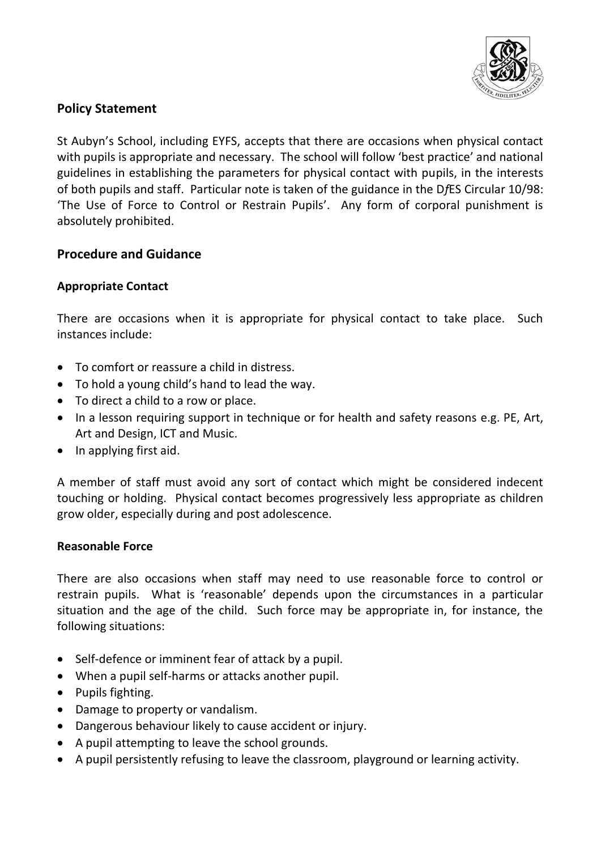

## **Policy Statement**

St Aubyn's School, including EYFS, accepts that there are occasions when physical contact with pupils is appropriate and necessary. The school will follow 'best practice' and national guidelines in establishing the parameters for physical contact with pupils, in the interests of both pupils and staff. Particular note is taken of the guidance in the D*f*ES Circular 10/98: 'The Use of Force to Control or Restrain Pupils'. Any form of corporal punishment is absolutely prohibited.

### **Procedure and Guidance**

### **Appropriate Contact**

There are occasions when it is appropriate for physical contact to take place. Such instances include:

- To comfort or reassure a child in distress.
- To hold a young child's hand to lead the way.
- To direct a child to a row or place.
- In a lesson requiring support in technique or for health and safety reasons e.g. PE, Art, Art and Design, ICT and Music.
- In applying first aid.

A member of staff must avoid any sort of contact which might be considered indecent touching or holding. Physical contact becomes progressively less appropriate as children grow older, especially during and post adolescence.

#### **Reasonable Force**

There are also occasions when staff may need to use reasonable force to control or restrain pupils. What is 'reasonable' depends upon the circumstances in a particular situation and the age of the child. Such force may be appropriate in, for instance, the following situations:

- Self-defence or imminent fear of attack by a pupil.
- When a pupil self-harms or attacks another pupil.
- Pupils fighting.
- Damage to property or vandalism.
- Dangerous behaviour likely to cause accident or injury.
- A pupil attempting to leave the school grounds.
- A pupil persistently refusing to leave the classroom, playground or learning activity.